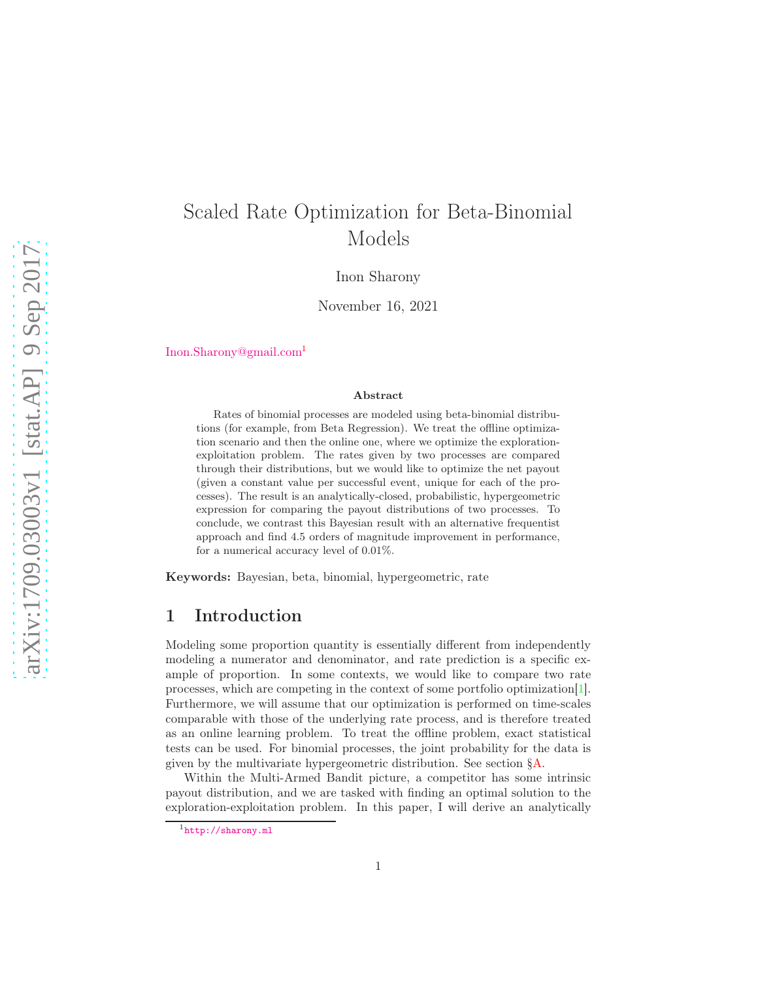# Scaled Rate Optimization for Beta-Binomial Models

Inon Sharony

November 16, 2021

[Inon.Sharony@gmail.com](mailto:Inon.Sharony@gmail.com)[1](#page-0-0)

#### Abstract

Rates of binomial processes are modeled using beta-binomial distributions (for example, from Beta Regression). We treat the offline optimization scenario and then the online one, where we optimize the explorationexploitation problem. The rates given by two processes are compared through their distributions, but we would like to optimize the net payout (given a constant value per successful event, unique for each of the processes). The result is an analytically-closed, probabilistic, hypergeometric expression for comparing the payout distributions of two processes. To conclude, we contrast this Bayesian result with an alternative frequentist approach and find 4.5 orders of magnitude improvement in performance, for a numerical accuracy level of 0.01%.

<span id="page-0-1"></span>Keywords: Bayesian, beta, binomial, hypergeometric, rate

### 1 Introduction

Modeling some proportion quantity is essentially different from independently modeling a numerator and denominator, and rate prediction is a specific example of proportion. In some contexts, we would like to compare two rate processes, which are competing in the context of some portfolio optimization[\[1\]](#page-14-0). Furthermore, we will assume that our optimization is performed on time-scales comparable with those of the underlying rate process, and is therefore treated as an online learning problem. To treat the offline problem, exact statistical tests can be used. For binomial processes, the joint probability for the data is given by the multivariate hypergeometric distribution. See section [§A.](#page-4-0)

Within the Multi-Armed Bandit picture, a competitor has some intrinsic payout distribution, and we are tasked with finding an optimal solution to the exploration-exploitation problem. In this paper, I will derive an analytically

<span id="page-0-0"></span><sup>1</sup><http://sharony.ml>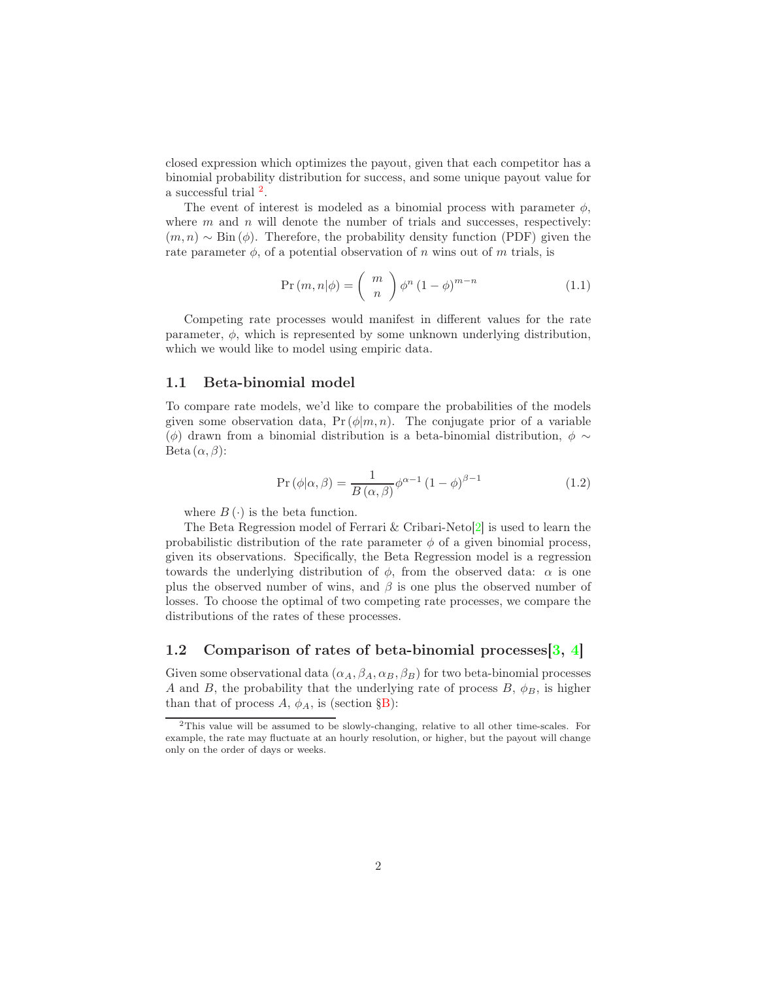closed expression which optimizes the payout, given that each competitor has a binomial probability distribution for success, and some unique payout value for a successful trial  $^2$  $^2$ .

The event of interest is modeled as a binomial process with parameter  $\phi$ , where  $m$  and  $n$  will denote the number of trials and successes, respectively:  $(m, n) \sim Bin(\phi)$ . Therefore, the probability density function (PDF) given the rate parameter  $\phi$ , of a potential observation of n wins out of m trials, is

$$
Pr(m, n | \phi) = {m \choose n} \phi^n (1 - \phi)^{m - n}
$$
\n(1.1)

Competing rate processes would manifest in different values for the rate parameter,  $\phi$ , which is represented by some unknown underlying distribution, which we would like to model using empiric data.

#### 1.1 Beta-binomial model

To compare rate models, we'd like to compare the probabilities of the models given some observation data,  $Pr(\phi|m, n)$ . The conjugate prior of a variable ( $\phi$ ) drawn from a binomial distribution is a beta-binomial distribution,  $\phi \sim$ Beta  $(\alpha, \beta)$ :

<span id="page-1-1"></span>
$$
Pr(\phi|\alpha, \beta) = \frac{1}{B(\alpha, \beta)} \phi^{\alpha - 1} (1 - \phi)^{\beta - 1}
$$
 (1.2)

where  $B(\cdot)$  is the beta function.

The Beta Regression model of Ferrari & Cribari-Neto[\[2\]](#page-15-0) is used to learn the probabilistic distribution of the rate parameter  $\phi$  of a given binomial process, given its observations. Specifically, the Beta Regression model is a regression towards the underlying distribution of  $\phi$ , from the observed data:  $\alpha$  is one plus the observed number of wins, and  $\beta$  is one plus the observed number of losses. To choose the optimal of two competing rate processes, we compare the distributions of the rates of these processes.

#### <span id="page-1-2"></span>1.2 Comparison of rates of beta-binomial processes [\[3,](#page-15-1) [4\]](#page-15-2)

Given some observational data  $(\alpha_A, \beta_A, \alpha_B, \beta_B)$  for two beta-binomial processes A and B, the probability that the underlying rate of process  $B, \phi_B$ , is higher than that of process  $A, \phi_A$ , is (section [§B\)](#page-7-0):

<span id="page-1-0"></span><sup>2</sup>This value will be assumed to be slowly-changing, relative to all other time-scales. For example, the rate may fluctuate at an hourly resolution, or higher, but the payout will change only on the order of days or weeks.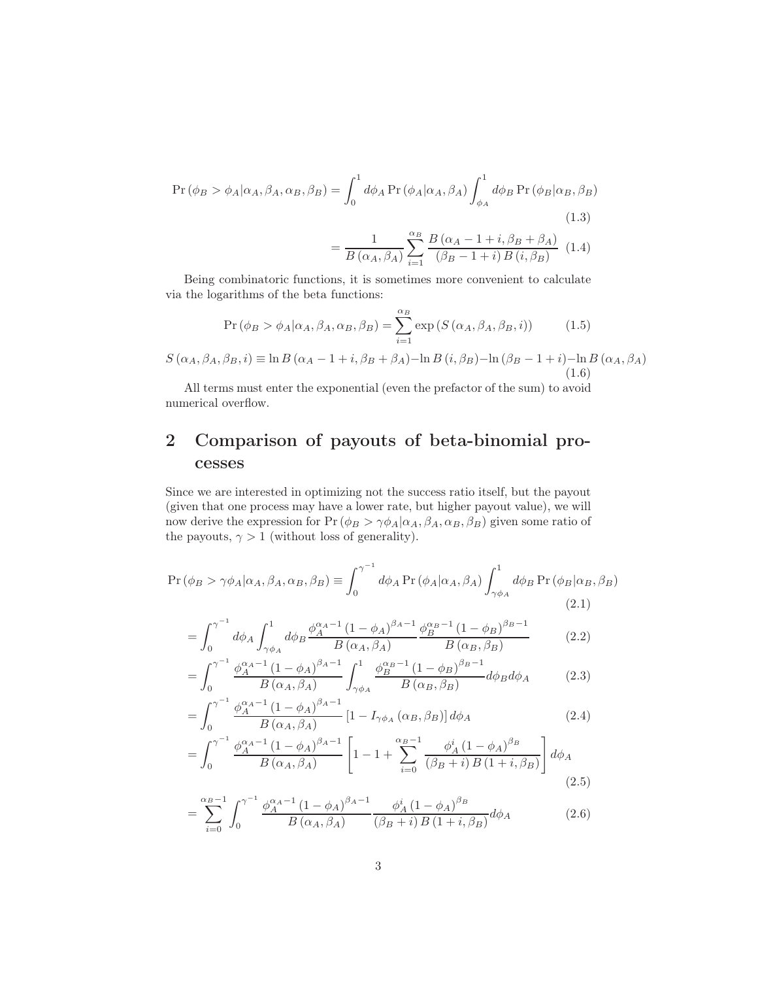$$
\Pr(\phi_B > \phi_A | \alpha_A, \beta_A, \alpha_B, \beta_B) = \int_0^1 d\phi_A \Pr(\phi_A | \alpha_A, \beta_A) \int_{\phi_A}^1 d\phi_B \Pr(\phi_B | \alpha_B, \beta_B) \n= \frac{1}{B(\alpha_A, \beta_A)} \sum_{i=1}^{\alpha_B} \frac{B(\alpha_A - 1 + i, \beta_B + \beta_A)}{(\beta_B - 1 + i) B(i, \beta_B)} \tag{1.4}
$$

Being combinatoric functions, it is sometimes more convenient to calculate via the logarithms of the beta functions:

$$
\Pr\left(\phi_B > \phi_A | \alpha_A, \beta_A, \alpha_B, \beta_B\right) = \sum_{i=1}^{\alpha_B} \exp\left(S\left(\alpha_A, \beta_A, \beta_B, i\right)\right) \tag{1.5}
$$

 $S(\alpha_A, \beta_A, \beta_B, i) \equiv \ln B(\alpha_A - 1 + i, \beta_B + \beta_A) - \ln B(i, \beta_B) - \ln(\beta_B - 1 + i) - \ln B(\alpha_A, \beta_A)$ (1.6)

All terms must enter the exponential (even the prefactor of the sum) to avoid numerical overflow.

# 2 Comparison of payouts of beta-binomial processes

Since we are interested in optimizing not the success ratio itself, but the payout (given that one process may have a lower rate, but higher payout value), we will now derive the expression for  $Pr(\phi_B > \gamma \phi_A | \alpha_A, \beta_A, \alpha_B, \beta_B)$  given some ratio of the payouts,  $\gamma > 1$  (without loss of generality).

$$
\Pr\left(\phi_B > \gamma \phi_A | \alpha_A, \beta_A, \alpha_B, \beta_B\right) \equiv \int_0^{\gamma^{-1}} d\phi_A \Pr\left(\phi_A | \alpha_A, \beta_A\right) \int_{\gamma \phi_A}^1 d\phi_B \Pr\left(\phi_B | \alpha_B, \beta_B\right) \tag{2.1}
$$

$$
= \int_0^{\gamma^{-1}} d\phi_A \int_{\gamma \phi_A}^1 d\phi_B \frac{\phi_A^{\alpha_A - 1} (1 - \phi_A)^{\beta_A - 1}}{B(\alpha_A, \beta_A)} \frac{\phi_B^{\alpha_B - 1} (1 - \phi_B)^{\beta_B - 1}}{B(\alpha_B, \beta_B)}
$$
(2.2)

$$
= \int_0^{\gamma^{-1}} \frac{\phi_A^{\alpha_A - 1} (1 - \phi_A)^{\beta_A - 1}}{B(\alpha_A, \beta_A)} \int_{\gamma \phi_A}^1 \frac{\phi_B^{\alpha_B - 1} (1 - \phi_B)^{\beta_B - 1}}{B(\alpha_B, \beta_B)} d\phi_B d\phi_A \tag{2.3}
$$

$$
= \int_0^{\gamma^{-1}} \frac{\phi_A^{\alpha_A - 1} (1 - \phi_A)^{\beta_A - 1}}{B(\alpha_A, \beta_A)} \left[ 1 - I_{\gamma \phi_A} (\alpha_B, \beta_B) \right] d\phi_A \tag{2.4}
$$

$$
= \int_0^{\gamma^{-1}} \frac{\phi_A^{\alpha_A - 1} (1 - \phi_A)^{\beta_A - 1}}{B(\alpha_A, \beta_A)} \left[ 1 - 1 + \sum_{i=0}^{\alpha_B - 1} \frac{\phi_A^i (1 - \phi_A)^{\beta_B}}{(\beta_B + i) B(1 + i, \beta_B)} \right] d\phi_A
$$
\n(2.5)

$$
= \sum_{i=0}^{\alpha_B - 1} \int_0^{\gamma^{-1}} \frac{\phi_A^{\alpha_A - 1} (1 - \phi_A)^{\beta_A - 1}}{B(\alpha_A, \beta_A)} \frac{\phi_A^i (1 - \phi_A)^{\beta_B}}{(\beta_B + i) B (1 + i, \beta_B)} d\phi_A \tag{2.6}
$$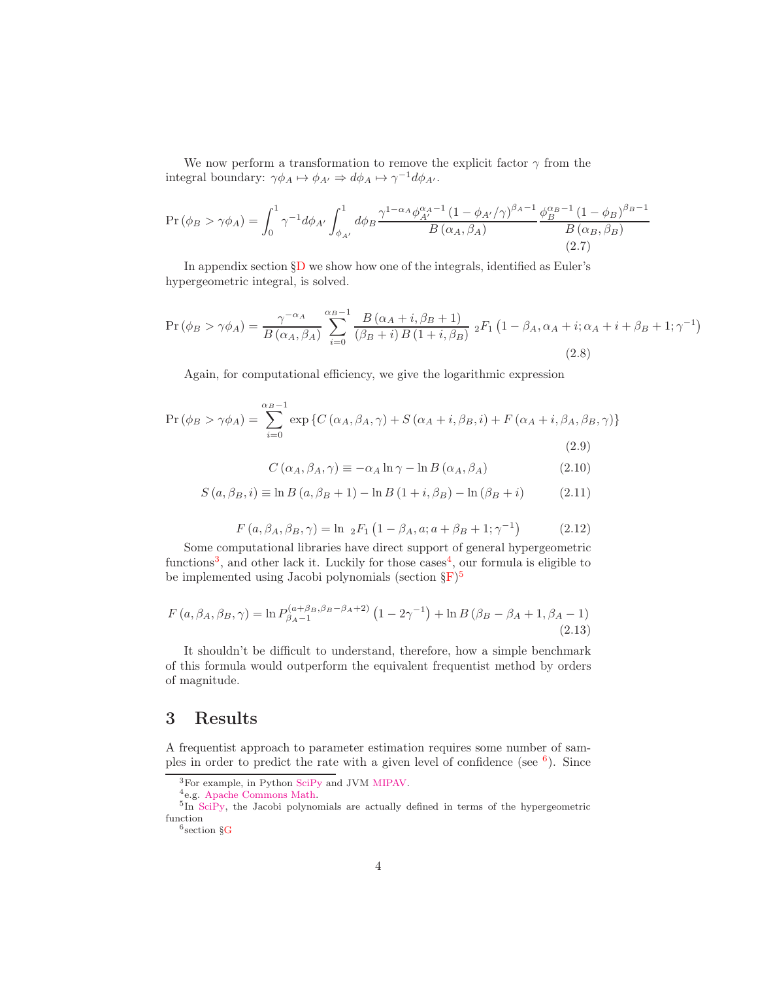We now perform a transformation to remove the explicit factor  $\gamma$  from the integral boundary:  $\gamma \phi_A \mapsto \phi_{A'} \Rightarrow d\phi_A \mapsto \gamma^{-1} d\phi_{A'}$ .

$$
\Pr(\phi_B > \gamma \phi_A) = \int_0^1 \gamma^{-1} d\phi_{A'} \int_{\phi_{A'}}^1 d\phi_B \frac{\gamma^{1-\alpha_A} \phi_{A'}^{\alpha_A - 1} (1 - \phi_{A'}/\gamma)^{\beta_A - 1}}{B(\alpha_A, \beta_A)} \frac{\phi_B^{\alpha_B - 1} (1 - \phi_B)^{\beta_B - 1}}{B(\alpha_B, \beta_B)}
$$
(2.7)

In appendix section [§D](#page-8-0) we show how one of the integrals, identified as Euler's hypergeometric integral, is solved.

$$
\Pr(\phi_B > \gamma \phi_A) = \frac{\gamma^{-\alpha_A}}{B\left(\alpha_A, \beta_A\right)} \sum_{i=0}^{\alpha_B - 1} \frac{B\left(\alpha_A + i, \beta_B + 1\right)}{\left(\beta_B + i\right)B\left(1 + i, \beta_B\right)} \, {}_2F_1\left(1 - \beta_A, \alpha_A + i; \alpha_A + i + \beta_B + 1; \gamma^{-1}\right) \tag{2.8}
$$

Again, for computational efficiency, we give the logarithmic expression

$$
\Pr\left(\phi_B > \gamma \phi_A\right) = \sum_{i=0}^{\alpha_B - 1} \exp\left\{C\left(\alpha_A, \beta_A, \gamma\right) + S\left(\alpha_A + i, \beta_B, i\right) + F\left(\alpha_A + i, \beta_A, \beta_B, \gamma\right)\right\}
$$
\n(2.9)

$$
C(\alpha_A, \beta_A, \gamma) \equiv -\alpha_A \ln \gamma - \ln B(\alpha_A, \beta_A)
$$
 (2.10)

$$
S(a, \beta_B, i) \equiv \ln B(a, \beta_B + 1) - \ln B(1 + i, \beta_B) - \ln(\beta_B + i)
$$
 (2.11)

$$
F(a, \beta_A, \beta_B, \gamma) = \ln 2F_1 (1 - \beta_A, a; a + \beta_B + 1; \gamma^{-1})
$$
 (2.12)

Some computational libraries have direct support of general hypergeometric functions<sup>[3](#page-3-0)</sup>, and other lack it. Luckily for those  $\csc^4$  $\csc^4$ , our formula is eligible to be implemented using Jacobi polynomials (section  $\S$ F)<sup>[5](#page-3-2)</sup>

$$
F(a, \beta_A, \beta_B, \gamma) = \ln P_{\beta_A - 1}^{(a + \beta_B, \beta_B - \beta_A + 2)} \left( 1 - 2\gamma^{-1} \right) + \ln B \left( \beta_B - \beta_A + 1, \beta_A - 1 \right)
$$
\n(2.13)

It shouldn't be difficult to understand, therefore, how a simple benchmark of this formula would outperform the equivalent frequentist method by orders of magnitude.

### <span id="page-3-4"></span>3 Results

A frequentist approach to parameter estimation requires some number of samples in order to predict the rate with a given level of confidence (see  $6$ ). Since

<span id="page-3-1"></span><span id="page-3-0"></span><sup>4</sup>e.g. [Apache Commons Math.](https://commons.apache.org/proper/commons-math/apidocs/org/apache/commons/math4/analysis/polynomials/PolynomialsUtils.html#createLegendrePolynomial-int-)

<sup>3</sup>For example, in Python [SciPy](https://docs.scipy.org/doc/scipy/reference/generated/scipy.special.eval_jacobi.html) and JVM [MIPAV.](https://mipav.cit.nih.gov/documentation/api/gov/nih/mipav/model/algorithms/Hypergeometric.html)

<sup>&</sup>lt;sup>5</sup>In [SciPy,](https://docs.scipy.org/doc/scipy/reference/generated/scipy.special.eval_jacobi.html) the Jacobi polynomials are actually defined in terms of the hypergeometric function

<span id="page-3-3"></span><span id="page-3-2"></span><sup>6</sup> section [§G](#page-12-0)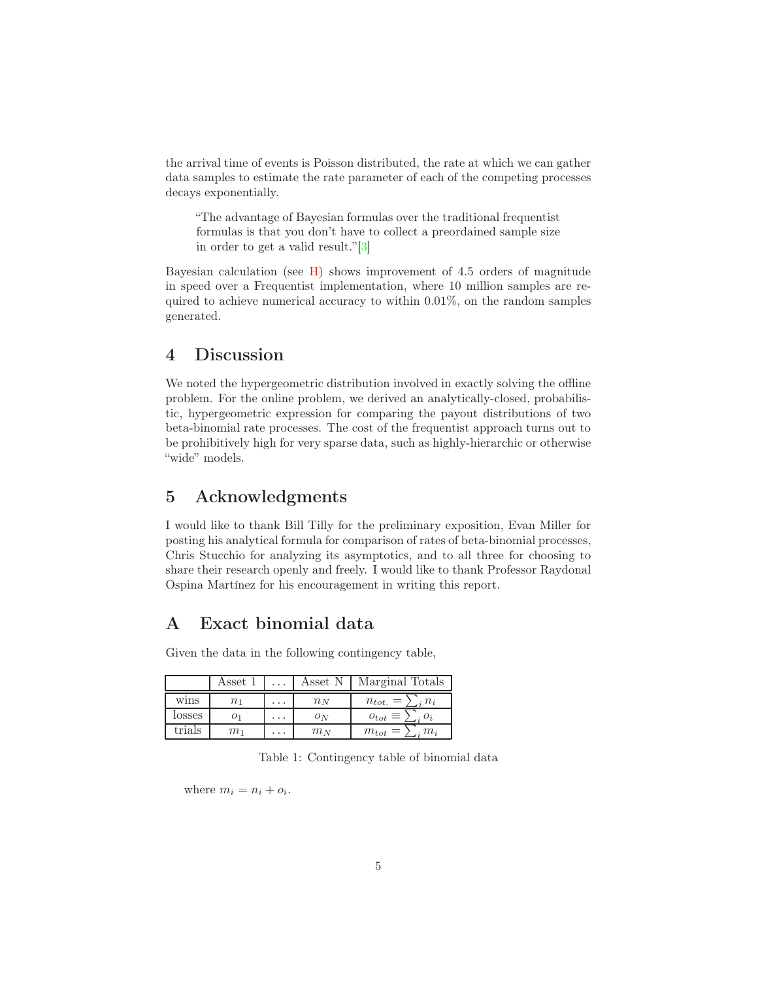the arrival time of events is Poisson distributed, the rate at which we can gather data samples to estimate the rate parameter of each of the competing processes decays exponentially.

"The advantage of Bayesian formulas over the traditional frequentist formulas is that you don't have to collect a preordained sample size in order to get a valid result."[\[3\]](#page-15-1)

Bayesian calculation (see [H\)](#page-13-0) shows improvement of 4.5 orders of magnitude in speed over a Frequentist implementation, where 10 million samples are required to achieve numerical accuracy to within 0.01%, on the random samples generated.

## 4 Discussion

We noted the hypergeometric distribution involved in exactly solving the offline problem. For the online problem, we derived an analytically-closed, probabilistic, hypergeometric expression for comparing the payout distributions of two beta-binomial rate processes. The cost of the frequentist approach turns out to be prohibitively high for very sparse data, such as highly-hierarchic or otherwise "wide" models.

### 5 Acknowledgments

I would like to thank Bill Tilly for the preliminary exposition, Evan Miller for posting his analytical formula for comparison of rates of beta-binomial processes, Chris Stucchio for analyzing its asymptotics, and to all three for choosing to share their research openly and freely. I would like to thank Professor Raydonal Ospina Martínez for his encouragement in writing this report.

## <span id="page-4-0"></span>A Exact binomial data

Given the data in the following contingency table,

|        | Asset 1  |                 | Asset N | Marginal Totals                  |
|--------|----------|-----------------|---------|----------------------------------|
| wins   | $n_{1}$  | $\cdot$ $\cdot$ | $n_N$   | $n_{tot.}$<br>$\cdot n_i$<br>$=$ |
| losses | $^{O_1}$ | .               | $O_N$   | $\rho_{tot} \equiv \rho$         |
| trials | $m_1$    | .               | $m_N$   | $m_i$<br>$m_{tot} =$             |

Table 1: Contingency table of binomial data

where  $m_i = n_i + o_i$ .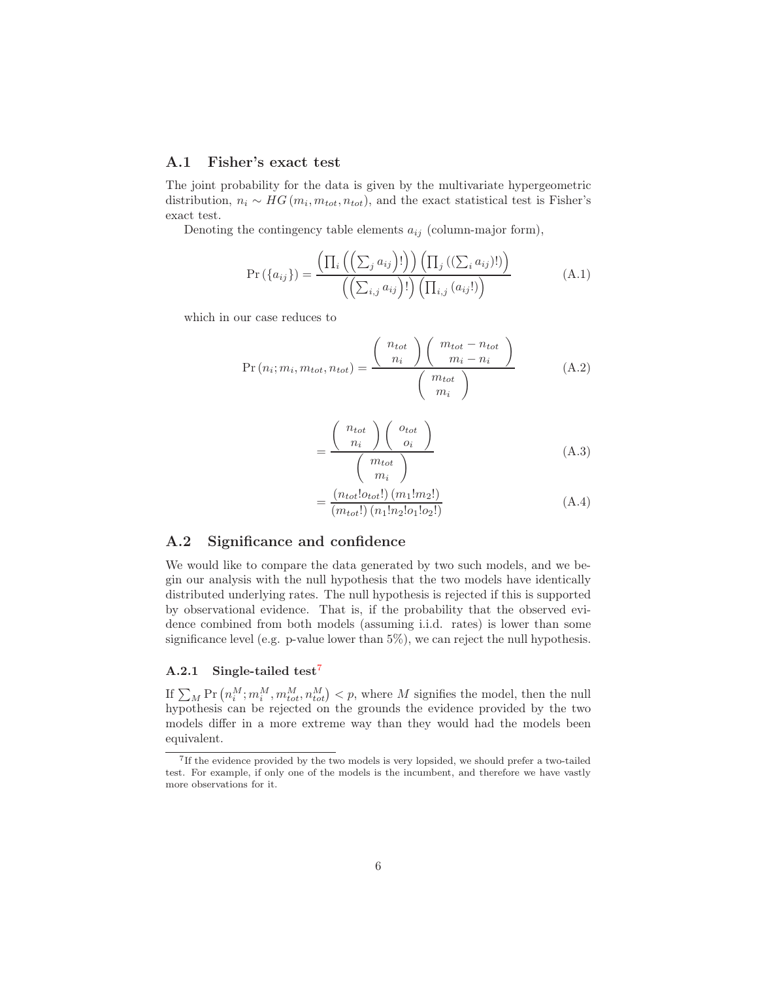#### A.1 Fisher's exact test

The joint probability for the data is given by the multivariate hypergeometric distribution,  $n_i \sim HG(m_i, m_{tot}, n_{tot})$ , and the exact statistical test is Fisher's exact test.

Denoting the contingency table elements  $a_{ij}$  (column-major form),

$$
\Pr(\{a_{ij}\}) = \frac{\left(\prod_{i}\left(\left(\sum_{j} a_{ij}\right)!\right)\right)\left(\prod_{j}\left(\left(\sum_{i} a_{ij}\right)!\right)\right)}{\left(\left(\sum_{i,j} a_{ij}\right)!\right)\left(\prod_{i,j}\left(a_{ij}!\right)\right)}
$$
(A.1)

which in our case reduces to

$$
Pr(n_i; m_i, m_{tot}, n_{tot}) = \frac{\left(\begin{array}{c} n_{tot} \\ n_i \end{array}\right) \left(\begin{array}{c} m_{tot} - n_{tot} \\ m_i - n_i \end{array}\right)}{\left(\begin{array}{c} m_{tot} \\ m_i \end{array}\right)} \tag{A.2}
$$

$$
=\frac{\left(\begin{array}{c} n_{tot} \\ n_i \end{array}\right)\left(\begin{array}{c} o_{tot} \\ o_i \end{array}\right)}{\left(\begin{array}{c} m_{tot} \\ m_i \end{array}\right)}
$$
(A.3)

$$
\frac{(n_{tot}!o_{tot}!)(m_1!m_2!)}{(m_{tot}!)(n_1!n_2!o_1!o_2!)}
$$
(A.4)

### A.2 Significance and confidence

=

We would like to compare the data generated by two such models, and we begin our analysis with the null hypothesis that the two models have identically distributed underlying rates. The null hypothesis is rejected if this is supported by observational evidence. That is, if the probability that the observed evidence combined from both models (assuming i.i.d. rates) is lower than some significance level (e.g. p-value lower than  $5\%$ ), we can reject the null hypothesis.

#### A.2.1 Single-tailed test<sup>[7](#page-5-0)</sup>

If  $\sum_M \Pr(n_i^M; m_i^M, m_{tot}^M, n_{tot}^M) < p$ , where M signifies the model, then the null hypothesis can be rejected on the grounds the evidence provided by the two models differ in a more extreme way than they would had the models been equivalent.

<span id="page-5-0"></span><sup>&</sup>lt;sup>7</sup>If the evidence provided by the two models is very lopsided, we should prefer a two-tailed test. For example, if only one of the models is the incumbent, and therefore we have vastly more observations for it.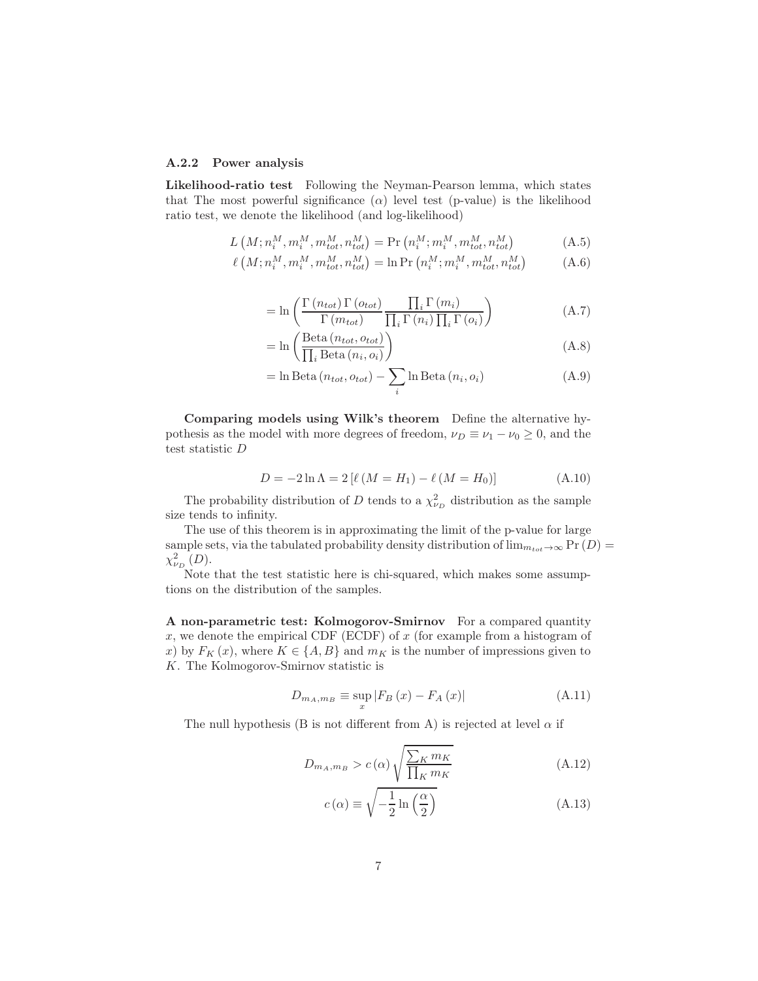#### A.2.2 Power analysis

Likelihood-ratio test Following the Neyman-Pearson lemma, which states that The most powerful significance  $(\alpha)$  level test (p-value) is the likelihood ratio test, we denote the likelihood (and log-likelihood)

$$
L\left(M; n_i^M, m_i^M, m_{tot}^M, n_{tot}^M\right) = \Pr\left(n_i^M; m_i^M, m_{tot}^M, n_{tot}^M\right) \tag{A.5}
$$

$$
\ell\left(M;n_i^M,m_i^M,m_{tot}^M,n_{tot}^M\right) = \ln \Pr\left(n_i^M;m_i^M,m_{tot}^M,n_{tot}^M\right) \tag{A.6}
$$

$$
= \ln \left( \frac{\Gamma(n_{tot}) \Gamma(o_{tot})}{\Gamma(m_{tot})} \frac{\prod_{i} \Gamma(m_i)}{\prod_{i} \Gamma(n_i) \prod_{i} \Gamma(o_i)} \right)
$$
(A.7)

$$
= \ln \left( \frac{\text{Beta}(n_{tot}, o_{tot})}{\prod_{i} \text{Beta}(n_i, o_i)} \right)
$$
(A.8)

$$
= \ln \text{Beta}(n_{tot}, o_{tot}) - \sum_{i} \ln \text{Beta}(n_i, o_i)
$$
\n(A.9)

Comparing models using Wilk's theorem Define the alternative hypothesis as the model with more degrees of freedom,  $\nu_D \equiv \nu_1 - \nu_0 \geq 0$ , and the test statistic D

$$
D = -2\ln \Lambda = 2\left[\ell\left(M = H_1\right) - \ell\left(M = H_0\right)\right]
$$
\n(A.10)

The probability distribution of D tends to a  $\chi^2_{\nu_D}$  distribution as the sample size tends to infinity.

The use of this theorem is in approximating the limit of the p-value for large sample sets, via the tabulated probability density distribution of  $\lim_{m_{tot}\to\infty} \Pr(D)$  $\chi^2_{\nu_D}(D)$ .

Note that the test statistic here is chi-squared, which makes some assumptions on the distribution of the samples.

A non-parametric test: Kolmogorov-Smirnov For a compared quantity  $x$ , we denote the empirical CDF (ECDF) of  $x$  (for example from a histogram of x) by  $F_K(x)$ , where  $K \in \{A, B\}$  and  $m_K$  is the number of impressions given to K. The Kolmogorov-Smirnov statistic is

$$
D_{m_A, m_B} \equiv \sup_x |F_B(x) - F_A(x)| \tag{A.11}
$$

The null hypothesis (B is not different from A) is rejected at level  $\alpha$  if

$$
D_{m_A, m_B} > c(\alpha) \sqrt{\frac{\sum_{K} m_K}{\prod_{K} m_K}} \tag{A.12}
$$

$$
c(\alpha) \equiv \sqrt{-\frac{1}{2}\ln\left(\frac{\alpha}{2}\right)}\tag{A.13}
$$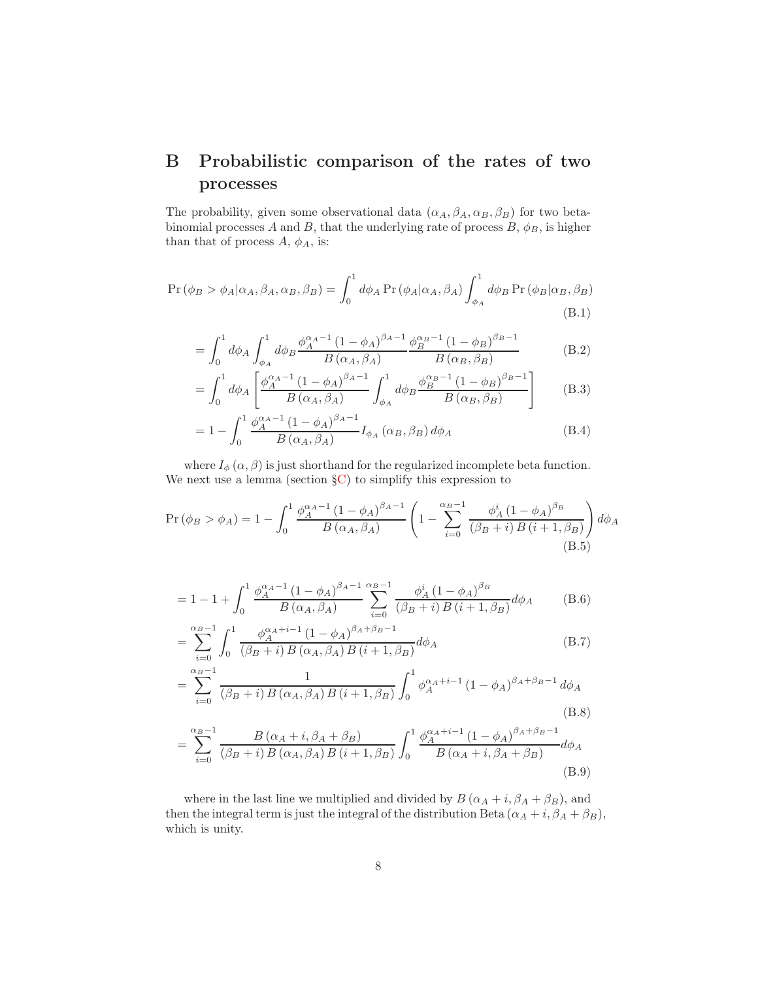# <span id="page-7-0"></span>B Probabilistic comparison of the rates of two processes

The probability, given some observational data  $(\alpha_A, \beta_A, \alpha_B, \beta_B)$  for two betabinomial processes A and B, that the underlying rate of process B,  $\phi_B$ , is higher than that of process  $A, \phi_A$ , is:

$$
\Pr(\phi_B > \phi_A | \alpha_A, \beta_A, \alpha_B, \beta_B) = \int_0^1 d\phi_A \Pr(\phi_A | \alpha_A, \beta_A) \int_{\phi_A}^1 d\phi_B \Pr(\phi_B | \alpha_B, \beta_B) \tag{B.1}
$$

$$
= \int_0^1 d\phi_A \int_{\phi_A}^1 d\phi_B \frac{\phi_A^{\alpha_A - 1} (1 - \phi_A)^{\beta_A - 1}}{B(\alpha_A, \beta_A)} \frac{\phi_B^{\alpha_B - 1} (1 - \phi_B)^{\beta_B - 1}}{B(\alpha_B, \beta_B)}
$$
(B.2)

$$
= \int_0^1 d\phi_A \left[ \frac{\phi_A^{\alpha_A - 1} (1 - \phi_A)^{\beta_A - 1}}{B(\alpha_A, \beta_A)} \int_{\phi_A}^1 d\phi_B \frac{\phi_B^{\alpha_B - 1} (1 - \phi_B)^{\beta_B - 1}}{B(\alpha_B, \beta_B)} \right] \tag{B.3}
$$

$$
=1-\int_0^1 \frac{\phi_A^{\alpha_A-1} (1-\phi_A)^{\beta_A-1}}{B(\alpha_A,\beta_A)} I_{\phi_A}(\alpha_B,\beta_B) d\phi_A
$$
 (B.4)

where  $I_{\phi}(\alpha, \beta)$  is just shorthand for the regularized incomplete beta function. We next use a lemma (section  $\S$ C) to simplify this expression to

$$
\Pr(\phi_B > \phi_A) = 1 - \int_0^1 \frac{\phi_A^{\alpha_A - 1} (1 - \phi_A)^{\beta_A - 1}}{B(\alpha_A, \beta_A)} \left( 1 - \sum_{i=0}^{\alpha_B - 1} \frac{\phi_A^i (1 - \phi_A)^{\beta_B}}{(\beta_B + i) B(i + 1, \beta_B)} \right) d\phi_A \tag{B.5}
$$

$$
= 1 - 1 + \int_0^1 \frac{\phi_A^{\alpha_A - 1} (1 - \phi_A)^{\beta_A - 1}}{B(\alpha_A, \beta_A)} \sum_{i=0}^{\alpha_B - 1} \frac{\phi_A^i (1 - \phi_A)^{\beta_B}}{(\beta_B + i) B(i + 1, \beta_B)} d\phi_A \tag{B.6}
$$

$$
= \sum_{i=0}^{\alpha_B - 1} \int_0^1 \frac{\phi_A^{\alpha_A + i - 1} (1 - \phi_A)^{\beta_A + \beta_B - 1}}{(\beta_B + i) B(\alpha_A, \beta_A) B(i + 1, \beta_B)} d\phi_A
$$
(B.7)

$$
= \sum_{i=0}^{\alpha_B - 1} \frac{1}{(\beta_B + i) B(\alpha_A, \beta_A) B(i + 1, \beta_B)} \int_0^1 \phi_A^{\alpha_A + i - 1} (1 - \phi_A)^{\beta_A + \beta_B - 1} d\phi_A
$$
\n(B.8)

$$
= \sum_{i=0}^{\alpha_B - 1} \frac{B(\alpha_A + i, \beta_A + \beta_B)}{(\beta_B + i) B(\alpha_A, \beta_A) B(i + 1, \beta_B)} \int_0^1 \frac{\phi_A^{\alpha_A + i - 1} (1 - \phi_A)^{\beta_A + \beta_B - 1}}{B(\alpha_A + i, \beta_A + \beta_B)} d\phi_A
$$
\n(B.9)

where in the last line we multiplied and divided by  $B(\alpha_A + i, \beta_A + \beta_B)$ , and then the integral term is just the integral of the distribution Beta  $(\alpha_A + i, \beta_A + \beta_B)$ , which is unity.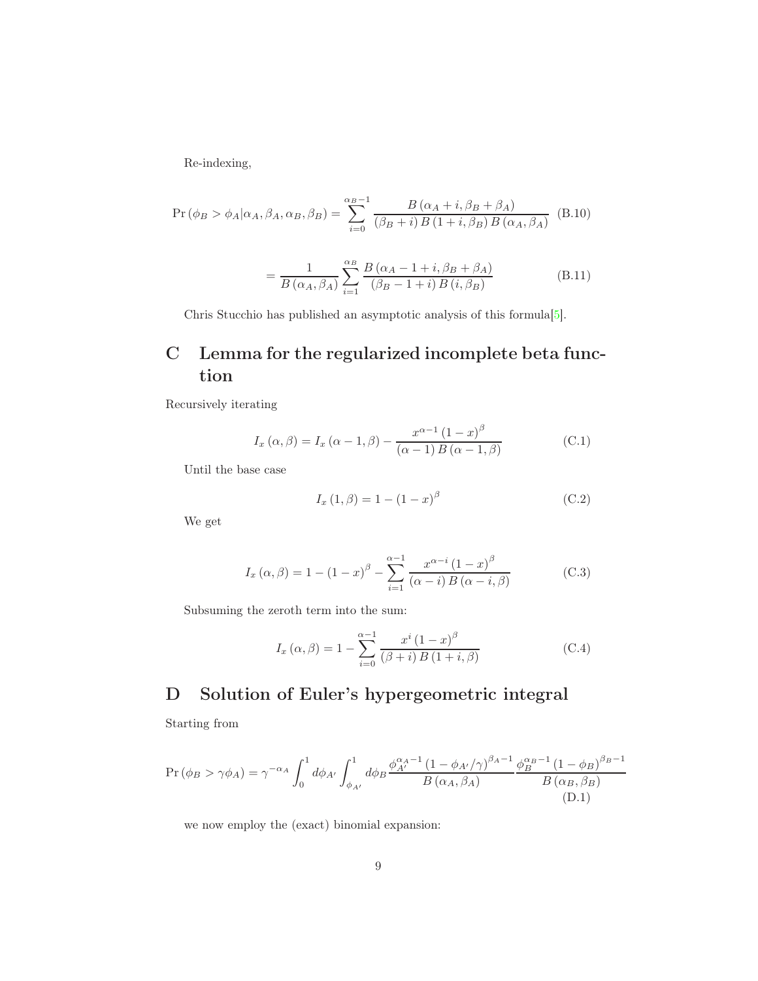Re-indexing,

$$
\Pr(\phi_B > \phi_A | \alpha_A, \beta_A, \alpha_B, \beta_B) = \sum_{i=0}^{\alpha_B - 1} \frac{B(\alpha_A + i, \beta_B + \beta_A)}{(\beta_B + i) B(1 + i, \beta_B) B(\alpha_A, \beta_A)} \quad (B.10)
$$
\n
$$
= \frac{1}{B(\alpha_A, \beta_A)} \sum_{i=1}^{\alpha_B} \frac{B(\alpha_A - 1 + i, \beta_B + \beta_A)}{(\beta_B - 1 + i) B(i, \beta_B)} \quad (B.11)
$$

Chris Stucchio has published an asymptotic analysis of this formula[\[5\]](#page-15-3).

# <span id="page-8-1"></span>C Lemma for the regularized incomplete beta function

Recursively iterating

$$
I_x(\alpha, \beta) = I_x(\alpha - 1, \beta) - \frac{x^{\alpha - 1} (1 - x)^{\beta}}{(\alpha - 1) B(\alpha - 1, \beta)}
$$
(C.1)

Until the base case

<span id="page-8-2"></span>
$$
I_x(1, \beta) = 1 - (1 - x)^{\beta}
$$
 (C.2)

We get

$$
I_x(\alpha, \beta) = 1 - (1 - x)^{\beta} - \sum_{i=1}^{\alpha - 1} \frac{x^{\alpha - i} (1 - x)^{\beta}}{(\alpha - i) B(\alpha - i, \beta)}
$$
(C.3)

Subsuming the zeroth term into the sum:

$$
I_x(\alpha, \beta) = 1 - \sum_{i=0}^{\alpha - 1} \frac{x^i (1 - x)^{\beta}}{(\beta + i) B (1 + i, \beta)}
$$
(C.4)

# <span id="page-8-0"></span>D Solution of Euler's hypergeometric integral

Starting from

$$
\Pr\left(\phi_B > \gamma \phi_A\right) = \gamma^{-\alpha_A} \int_0^1 d\phi_{A'} \int_{\phi_{A'}}^1 d\phi_B \frac{\phi_{A'}^{\alpha_A - 1} \left(1 - \phi_{A'}/\gamma\right)^{\beta_A - 1}}{B\left(\alpha_A, \beta_A\right)} \frac{\phi_B^{\alpha_B - 1} \left(1 - \phi_B\right)^{\beta_B - 1}}{B\left(\alpha_B, \beta_B\right)} \tag{D.1}
$$

we now employ the (exact) binomial expansion: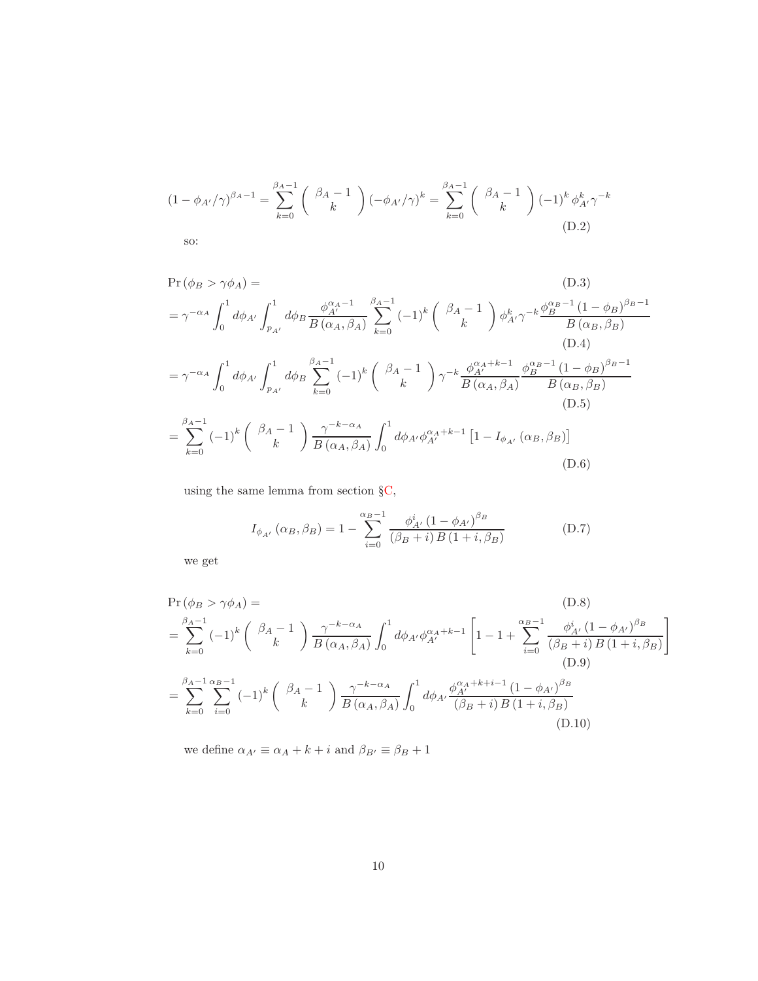$$
(1 - \phi_{A'}/\gamma)^{\beta_A - 1} = \sum_{k=0}^{\beta_A - 1} \binom{\beta_A - 1}{k} (-\phi_{A'}/\gamma)^k = \sum_{k=0}^{\beta_A - 1} \binom{\beta_A - 1}{k} (-1)^k \phi_{A'}^k \gamma^{-k}
$$
\n
$$
\text{so:} \tag{D.2}
$$

$$
\Pr(\phi_B > \gamma \phi_A) =
$$
\n
$$
= \gamma^{-\alpha_A} \int_0^1 d\phi_{A'} \int_{p_{A'}}^1 d\phi_B \frac{\phi_{A'}^{\alpha_A - 1}}{B(\alpha_A, \beta_A)} \sum_{k=0}^{\beta_A - 1} (-1)^k \binom{\beta_A - 1}{k} \phi_{A'}^k \gamma^{-k} \frac{\phi_B^{\alpha_B - 1} (1 - \phi_B)^{\beta_B - 1}}{B(\alpha_B, \beta_B)}
$$
\n(D.4)\n
$$
= \gamma^{-\alpha_A} \int_0^1 d\phi_{A'} \int_{p_{A'}}^1 d\phi_B \sum_{k=0}^{\beta_A - 1} (-1)^k \binom{\beta_A - 1}{k} \gamma^{-k} \frac{\phi_{A'}^{\alpha_A + k - 1}}{B(\alpha_A, \beta_A)} \frac{\phi_B^{\alpha_B - 1} (1 - \phi_B)^{\beta_B - 1}}{B(\alpha_B, \beta_B)}
$$
\n(D.5)\n
$$
= \sum_{k=0}^{\beta_A - 1} (-1)^k \binom{\beta_A - 1}{k} \frac{\gamma^{-k - \alpha_A}}{B(\alpha_A, \beta_A)} \int_0^1 d\phi_{A'} \phi_{A'}^{\alpha_A + k - 1} [1 - I_{\phi_{A'}}(\alpha_B, \beta_B)]
$$
\n(D.6)

using the same lemma from section [§C,](#page-8-1)

$$
I_{\phi_{A'}}\left(\alpha_B, \beta_B\right) = 1 - \sum_{i=0}^{\alpha_B - 1} \frac{\phi_{A'}^i \left(1 - \phi_{A'}\right)^{\beta_B}}{\left(\beta_B + i\right)B\left(1 + i, \beta_B\right)}\tag{D.7}
$$

we get

$$
\Pr(\phi_B > \gamma \phi_A) = \text{(D.8)}
$$
\n
$$
= \sum_{k=0}^{\beta_A - 1} (-1)^k \binom{\beta_A - 1}{k} \frac{\gamma^{-k - \alpha_A}}{B(\alpha_A, \beta_A)} \int_0^1 d\phi_{A'} \phi_{A'}^{\alpha_A + k - 1} \left[ 1 - 1 + \sum_{i=0}^{\alpha_B - 1} \frac{\phi_{A'}^i (1 - \phi_{A'})^{\beta_B}}{(\beta_B + i) B(1 + i, \beta_B)} \right]
$$
\n(D.9)\n
$$
= \sum_{k=0}^{\beta_A - 1} \sum_{i=0}^{\alpha_B - 1} (-1)^k \binom{\beta_A - 1}{k} \frac{\gamma^{-k - \alpha_A}}{B(\alpha_A, \beta_A)} \int_0^1 d\phi_{A'} \frac{\phi_{A'}^{\alpha_A + k + i - 1} (1 - \phi_{A'})^{\beta_B}}{(\beta_B + i) B(1 + i, \beta_B)} \text{(D.10)}
$$

we define  $\alpha_{A'}\equiv \alpha_A+k+i$  and  $\beta_{B'}\equiv \beta_B+1$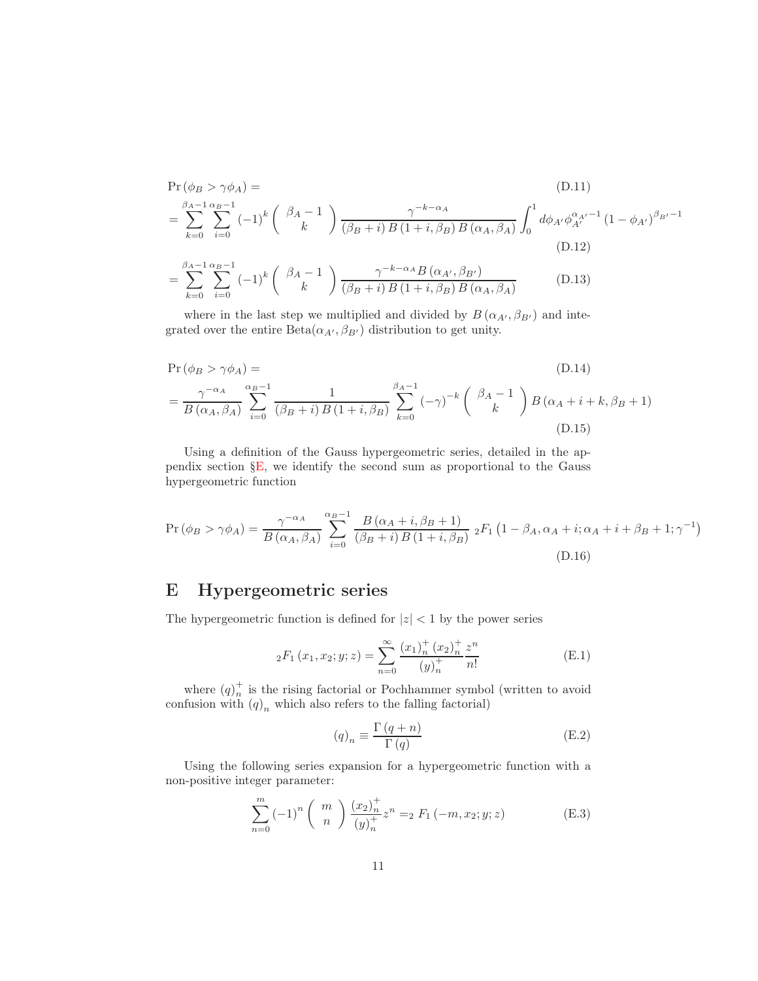$$
\Pr(\phi_B > \gamma \phi_A) =
$$
\n
$$
= \sum_{k=0}^{\beta_A - 1} \sum_{i=0}^{\alpha_B - 1} (-1)^k \binom{\beta_A - 1}{k} \frac{\gamma^{-k - \alpha_A}}{(\beta_B + i) B (1 + i, \beta_B) B (\alpha_A, \beta_A)} \int_0^1 d\phi_{A'} \phi_{A'}^{\alpha_{A'} - 1} (1 - \phi_{A'})^{\beta_{B'} - 1}
$$
\n(D.12)\n
$$
= \sum_{k=0}^{\beta_A - 1} \sum_{i=0}^{\alpha_B - 1} (-1)^k \binom{\beta_A - 1}{k} \frac{\gamma^{-k - \alpha_A} B (\alpha_{A'}, \beta_{B'})}{(\beta_B + i) B (1 + i, \beta_B) B (\alpha_A, \beta_A)}
$$
\n(D.13)

where in the last step we multiplied and divided by  $B(\alpha_{A'}, \beta_{B'})$  and integrated over the entire  $Beta(\alpha_{A'}, \beta_{B'})$  distribution to get unity.

$$
\Pr(\phi_B > \gamma \phi_A) = \text{(D.14)}
$$
\n
$$
= \frac{\gamma^{-\alpha_A}}{B(\alpha_A, \beta_A)} \sum_{i=0}^{\alpha_B - 1} \frac{1}{(\beta_B + i) B(1 + i, \beta_B)} \sum_{k=0}^{\beta_A - 1} (-\gamma)^{-k} \binom{\beta_A - 1}{k} B(\alpha_A + i + k, \beta_B + 1)
$$
\n(D.15)

Using a definition of the Gauss hypergeometric series, detailed in the appendix section [§E,](#page-10-0) we identify the second sum as proportional to the Gauss hypergeometric function

$$
\Pr(\phi_B > \gamma \phi_A) = \frac{\gamma^{-\alpha_A}}{B\left(\alpha_A, \beta_A\right)} \sum_{i=0}^{\alpha_B - 1} \frac{B\left(\alpha_A + i, \beta_B + 1\right)}{\left(\beta_B + i\right)B\left(1 + i, \beta_B\right)} \, {}_2F_1\left(1 - \beta_A, \alpha_A + i; \alpha_A + i + \beta_B + 1; \gamma^{-1}\right) \tag{D.16}
$$

# <span id="page-10-0"></span>E Hypergeometric series

The hypergeometric function is defined for  $|z| < 1$  by the power series

$$
{}_2F_1(x_1, x_2; y; z) = \sum_{n=0}^{\infty} \frac{(x_1)_n^+(x_2)_n^+}{(y)_n^+} \frac{z^n}{n!}
$$
 (E.1)

where  $(q)_n^+$  $\frac{1}{n}$  is the rising factorial or Pochhammer symbol (written to avoid confusion with  $(q)_n$  which also refers to the falling factorial)

$$
(q)_n \equiv \frac{\Gamma(q+n)}{\Gamma(q)}\tag{E.2}
$$

Using the following series expansion for a hypergeometric function with a non-positive integer parameter:

$$
\sum_{n=0}^{m} (-1)^n \binom{m}{n} \frac{(x_2)_n^+}{(y)_n^+} z^n =_2 F_1(-m, x_2; y; z)
$$
 (E.3)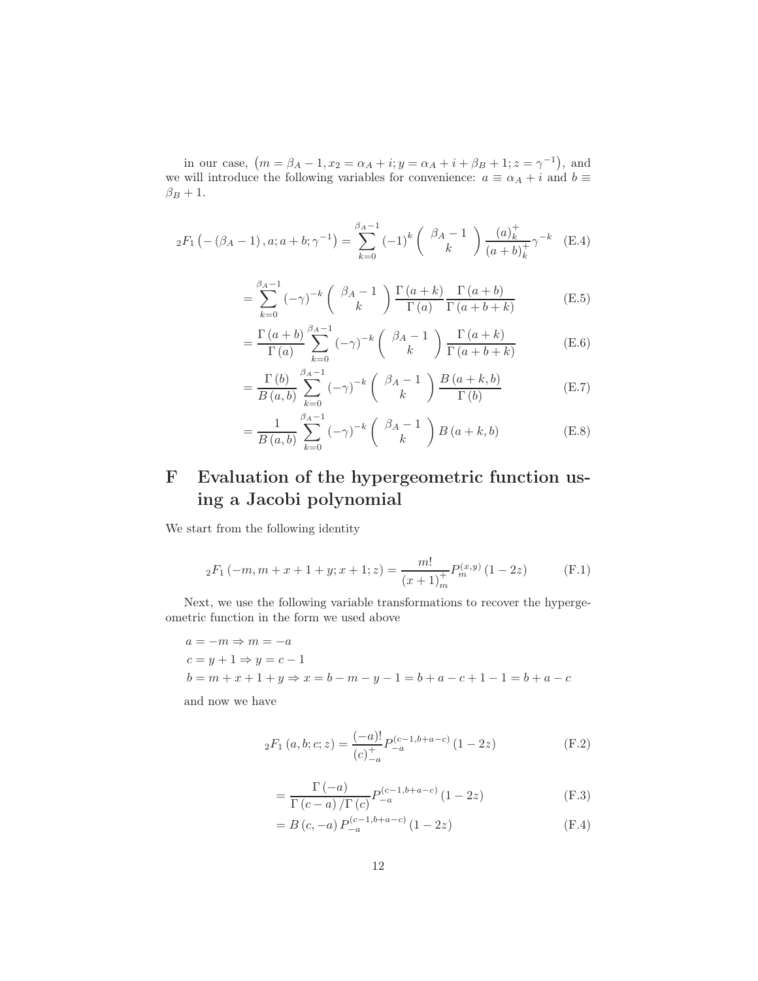in our case,  $(m = \beta_A - 1, x_2 = \alpha_A + i; y = \alpha_A + i + \beta_B + 1; z = \gamma^{-1}),$  and we will introduce the following variables for convenience:  $a \equiv \alpha_A + i$  and  $b \equiv$  $\beta_B + 1$ .

$$
{}_2F_1\left(-\left(\beta_A - 1\right), a; a+b; \gamma^{-1}\right) = \sum_{k=0}^{\beta_A - 1} (-1)^k \left(\begin{array}{c} \beta_A - 1\\ k \end{array}\right) \frac{(a)_k^+}{(a+b)_k^+} \gamma^{-k} \quad \text{(E.4)}
$$

$$
= \sum_{k=0}^{\beta_A - 1} \left(-\gamma\right)^{-k} \begin{pmatrix} \beta_A - 1\\ k \end{pmatrix} \frac{\Gamma\left(a + k\right)}{\Gamma\left(a\right)} \frac{\Gamma\left(a + b\right)}{\Gamma\left(a + b + k\right)} \tag{E.5}
$$

$$
= \frac{\Gamma(a+b)}{\Gamma(a)} \sum_{k=0}^{\beta_A - 1} (-\gamma)^{-k} \begin{pmatrix} \beta_A - 1 \\ k \end{pmatrix} \frac{\Gamma(a+k)}{\Gamma(a+b+k)}
$$
(E.6)

$$
= \frac{\Gamma(b)}{B(a,b)} \sum_{k=0}^{\beta_A - 1} (-\gamma)^{-k} \begin{pmatrix} \beta_A - 1\\ k \end{pmatrix} \frac{B(a+k,b)}{\Gamma(b)} \tag{E.7}
$$

$$
= \frac{1}{B(a,b)} \sum_{k=0}^{\beta_A - 1} (-\gamma)^{-k} \binom{\beta_A - 1}{k} B(a+k, b)
$$
 (E.8)

# <span id="page-11-0"></span>F Evaluation of the hypergeometric function using a Jacobi polynomial

We start from the following identity

$$
{}_2F_1(-m, m+x+1+y; x+1; z) = \frac{m!}{(x+1)_m^+} P_m^{(x,y)}(1-2z)
$$
 (F.1)

Next, we use the following variable transformations to recover the hypergeometric function in the form we used above

$$
a = -m \Rightarrow m = -a
$$
  
\n
$$
c = y + 1 \Rightarrow y = c - 1
$$
  
\n
$$
b = m + x + 1 + y \Rightarrow x = b - m - y - 1 = b + a - c + 1 - 1 = b + a - c
$$

and now we have

$$
{}_2F_1(a,b;c;z) = \frac{(-a)!}{(c)_{-a}^+} P_{-a}^{(c-1,b+a-c)} (1-2z)
$$
 (F.2)

$$
=\frac{\Gamma(-a)}{\Gamma(c-a)/\Gamma(c)}P_{-a}^{(c-1,b+a-c)}(1-2z)
$$
\n(F.3)

$$
= B(c, -a) P_{-a}^{(c-1,b+a-c)} (1 - 2z)
$$
 (F.4)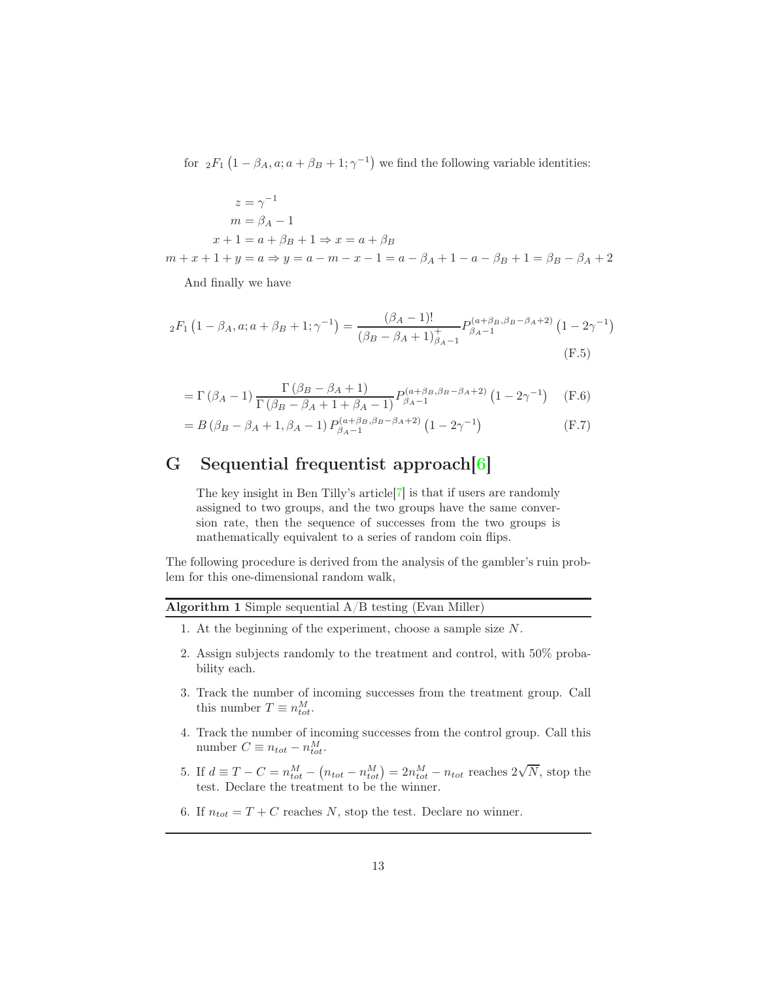for  ${}_2F_1(1-\beta_A, a; a+\beta_B+1; \gamma^{-1})$  we find the following variable identities:

$$
z = \gamma^{-1}
$$
  
\n
$$
m = \beta_A - 1
$$
  
\n
$$
x + 1 = a + \beta_B + 1 \Rightarrow x = a + \beta_B
$$

 $m + x + 1 + y = a \Rightarrow y = a - m - x - 1 = a - \beta_A + 1 - a - \beta_B + 1 = \beta_B - \beta_A + 2$ 

And finally we have

$$
{}_2F_1\left(1-\beta_A, a; a+\beta_B+1; \gamma^{-1}\right) = \frac{(\beta_A-1)!}{(\beta_B-\beta_A+1)^+_{\beta_A-1}} P_{\beta_A-1}^{(a+\beta_B,\beta_B-\beta_A+2)}\left(1-2\gamma^{-1}\right)
$$
\n(F.5)

$$
= \Gamma (\beta_A - 1) \frac{\Gamma (\beta_B - \beta_A + 1)}{\Gamma (\beta_B - \beta_A + 1 + \beta_A - 1)} P_{\beta_A - 1}^{(a + \beta_B, \beta_B - \beta_A + 2)} (1 - 2\gamma^{-1})
$$
 (F.6)

$$
= B (\beta_B - \beta_A + 1, \beta_A - 1) P_{\beta_A - 1}^{(a + \beta_B, \beta_B - \beta_A + 2)} (1 - 2\gamma^{-1})
$$
 (F.7)

## <span id="page-12-0"></span>G Sequential frequentist approach[\[6\]](#page-15-4)

The key insight in Ben Tilly's article[\[7\]](#page-15-5) is that if users are randomly assigned to two groups, and the two groups have the same conversion rate, then the sequence of successes from the two groups is mathematically equivalent to a series of random coin flips.

The following procedure is derived from the analysis of the gambler's ruin problem for this one-dimensional random walk,

#### Algorithm 1 Simple sequential A/B testing (Evan Miller)

- 1. At the beginning of the experiment, choose a sample size N.
- 2. Assign subjects randomly to the treatment and control, with 50% probability each.
- 3. Track the number of incoming successes from the treatment group. Call this number  $T \equiv n_{tot}^M$ .
- 4. Track the number of incoming successes from the control group. Call this number  $C \equiv n_{tot} - n_{tot}^M$ .
- 5. If  $d \equiv T C = n_{tot}^M (n_{tot} n_{tot}^M) = 2n_{tot}^M n_{tot}$  reaches  $2\sqrt{N}$ , stop the test. Declare the treatment to be the winner.
- 6. If  $n_{tot} = T + C$  reaches N, stop the test. Declare no winner.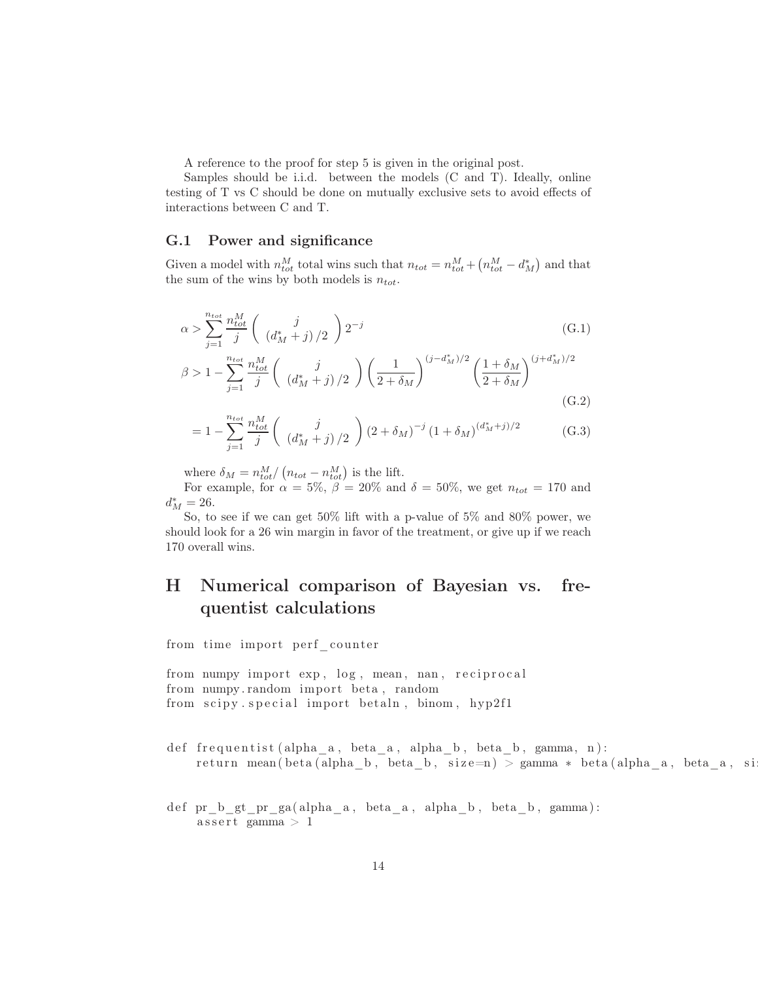A reference to the proof for step 5 is given in the original post.

Samples should be i.i.d. between the models (C and T). Ideally, online testing of T vs C should be done on mutually exclusive sets to avoid effects of interactions between C and T.

#### G.1 Power and significance

Given a model with  $n_{tot}^M$  total wins such that  $n_{tot} = n_{tot}^M + (n_{tot}^M - d_M^*)$  and that the sum of the wins by both models is  $n_{tot}$ .

$$
\alpha > \sum_{j=1}^{n_{tot}} \frac{n_{tot}^M}{j} \left( \frac{j}{\left(d_M^* + j\right)/2} \right) 2^{-j} \tag{G.1}
$$

$$
\beta > 1 - \sum_{j=1}^{n_{tot}} \frac{n_{tot}^M}{j} \left( \begin{array}{c} j \\ (d_M^* + j) / 2 \end{array} \right) \left( \frac{1}{2 + \delta_M} \right)^{(j - d_M^*)/2} \left( \frac{1 + \delta_M}{2 + \delta_M} \right)^{(j + d_M^*)/2}
$$
\n(G.2)

$$
=1-\sum_{j=1}^{n_{tot}}\frac{n_{tot}^M}{j}\left(\begin{array}{c}j\\(d_M^*+j)/2\end{array}\right)(2+\delta_M)^{-j}(1+\delta_M)^{(d_M^*+j)/2}
$$
(G.3)

where  $\delta_M = n_{tot}^M / (n_{tot} - n_{tot}^M)$  is the lift.

For example, for  $\alpha = 5\%$ ,  $\beta = 20\%$  and  $\delta = 50\%$ , we get  $n_{tot} = 170$  and  $d_M^* = 26.$ 

So, to see if we can get 50% lift with a p-value of 5% and 80% power, we should look for a 26 win margin in favor of the treatment, or give up if we reach 170 overall wins.

# <span id="page-13-0"></span>H Numerical comparison of Bayesian vs. frequentist calculations

from time import perf counter

from numpy import  $\exp$ ,  $\log$ , mean, nan, reciprocal from numpy random import beta, random from scipy special import betaln, binom, hyp2f1

def frequentist (alpha a, beta a, alpha b, beta b, gamma, n ) : return mean ( beta ( alpha b, beta b, s i z e=n ) > gamma \* beta ( alpha a, beta a, s i

def pr b gt pr ga ( alpha  $a$  , beta  $a$  , alpha  $b$  , beta  $b$  , gamma ) :  $\text{assert}$  gamma > 1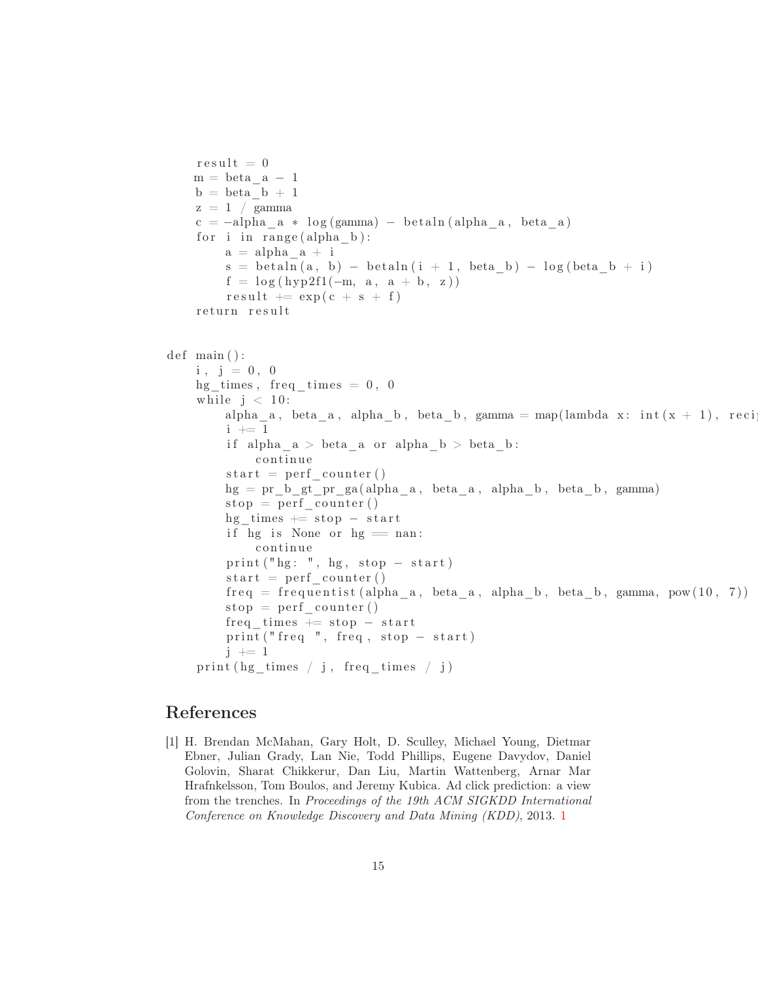```
r e s u l t = 0m = beta_a - 1b = beta b + 1z = 1 / \gammac = -alpha_a * log(gamma) - betaln(alpha_a, beta_a)for i in range (alpha b):
        a = alpha a + is = \text{beta} \ln(a, b) - \text{beta} \ln(i + 1, \text{beta} b) - \log(\text{beta} b + i)f = \log(hyp2f1(-m, a, a + b, z))result \leftarrow exp(c + s + f)return result
def main () :
    i, j = 0, 0hg\_times, freq\_times = 0, 0
    while j < 10:
        alpha_a, beta_a, alpha_b, beta_b, gamma = map(lambda x: int(x + 1), reci
        i + = 1if alpha a > \text{beta} a or alpha b > \text{beta} b:
             continue
        start = perf \ counter()hg = pr b gt pr ga ( alpha a, beta a, alpha b, beta b, gamma)
        stop = perf\_counter()hg times += stop - start
        if hg is None or hg = nan:
             continue
        print("hg: ", hg, stop - start)start = perf \ counter()freq = frequentist (alpha_a, beta_a, alpha_b, beta_b, gamma, pow(10, 7))stop = perf \ counter()freq times += stop - start
        print("freq", freq, stop - start)j \neq 1print(hg\_times / j, freq\_times / j)
```
### <span id="page-14-0"></span>References

[1] H. Brendan McMahan, Gary Holt, D. Sculley, Michael Young, Dietmar Ebner, Julian Grady, Lan Nie, Todd Phillips, Eugene Davydov, Daniel Golovin, Sharat Chikkerur, Dan Liu, Martin Wattenberg, Arnar Mar Hrafnkelsson, Tom Boulos, and Jeremy Kubica. Ad click prediction: a view from the trenches. In Proceedings of the 19th ACM SIGKDD International Conference on Knowledge Discovery and Data Mining (KDD), 2013. [1](#page-0-1)